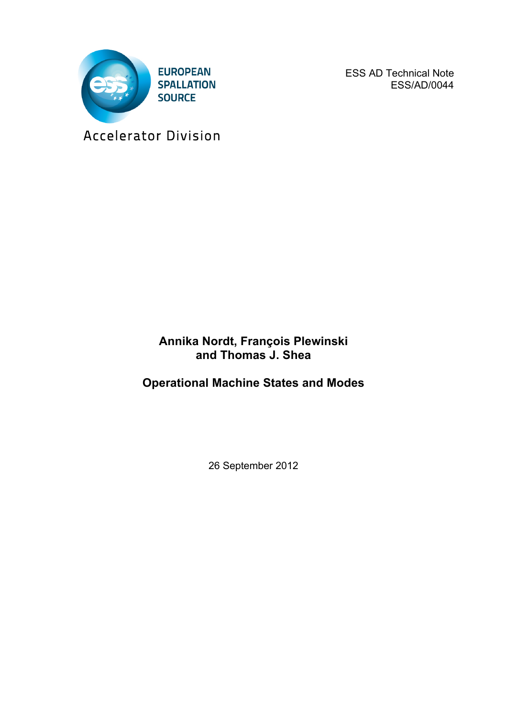

ESS AD Technical Note ESS/AD/0044

Accelerator Division

### **Annika Nordt, François Plewinski and Thomas J. Shea**

**Operational Machine States and Modes**

26 September 2012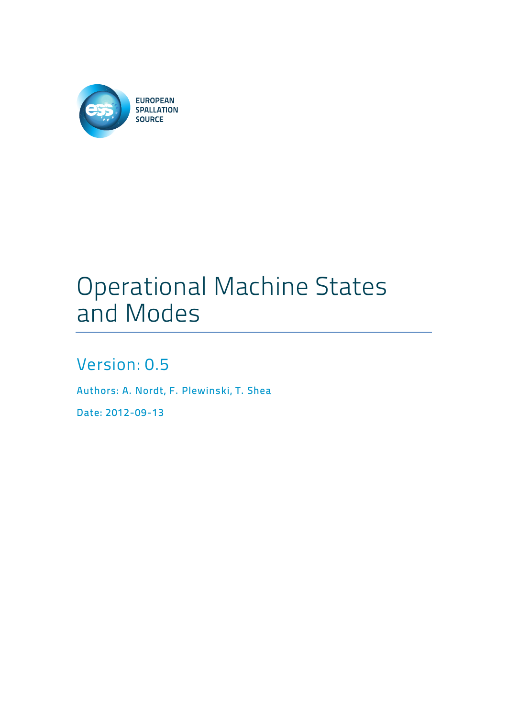

# Operational Machine States and Modes

### Version: 0.5

Authors: A. Nordt, F. Plewinski, T. Shea

Date: 2012-09-13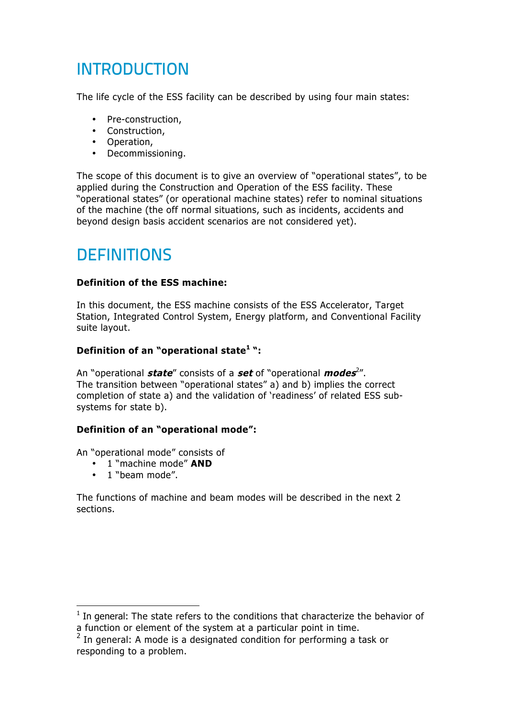## INTRODUCTION

The life cycle of the ESS facility can be described by using four main states:

- Pre-construction,
- Construction,
- Operation,
- Decommissioning.

The scope of this document is to give an overview of "operational states", to be applied during the Construction and Operation of the ESS facility. These "operational states" (or operational machine states) refer to nominal situations of the machine (the off normal situations, such as incidents, accidents and beyond design basis accident scenarios are not considered yet).

### **DEFINITIONS**

#### **Definition of the ESS machine:**

In this document, the ESS machine consists of the ESS Accelerator, Target Station, Integrated Control System, Energy platform, and Conventional Facility suite layout.

#### **Definition of an "operational state<sup>1</sup> ":**

An "operational **state**" consists of a **set** of "operational **modes**<sup>2</sup> ". The transition between "operational states" a) and b) implies the correct completion of state a) and the validation of 'readiness' of related ESS subsystems for state b).

#### **Definition of an "operational mode":**

An "operational mode" consists of

- 1 "machine mode" **AND**
- 1 "beam mode".

The functions of machine and beam modes will be described in the next 2 sections.

 $1$  In general: The state refers to the conditions that characterize the behavior of a function or element of the system at a particular point in time.

 $2$  In general: A mode is a designated condition for performing a task or responding to a problem.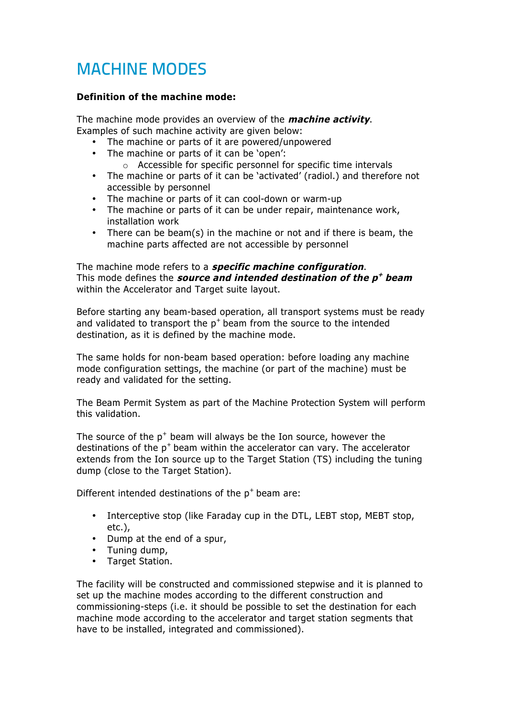### MACHINE MODES

#### **Definition of the machine mode:**

The machine mode provides an overview of the **machine activity**. Examples of such machine activity are given below:

- The machine or parts of it are powered/unpowered
- The machine or parts of it can be 'open':
	- o Accessible for specific personnel for specific time intervals
- The machine or parts of it can be 'activated' (radiol.) and therefore not accessible by personnel
- The machine or parts of it can cool-down or warm-up
- The machine or parts of it can be under repair, maintenance work, installation work
- There can be beam(s) in the machine or not and if there is beam, the machine parts affected are not accessible by personnel

The machine mode refers to a **specific machine configuration**. This mode defines the **source and intended destination of the p+ beam** within the Accelerator and Target suite layout.

Before starting any beam-based operation, all transport systems must be ready and validated to transport the  $p^+$  beam from the source to the intended destination, as it is defined by the machine mode.

The same holds for non-beam based operation: before loading any machine mode configuration settings, the machine (or part of the machine) must be ready and validated for the setting.

The Beam Permit System as part of the Machine Protection System will perform this validation.

The source of the  $p^+$  beam will always be the Ion source, however the destinations of the  $p^+$  beam within the accelerator can vary. The accelerator extends from the Ion source up to the Target Station (TS) including the tuning dump (close to the Target Station).

Different intended destinations of the  $p^+$  beam are:

- Interceptive stop (like Faraday cup in the DTL, LEBT stop, MEBT stop, etc.),
- Dump at the end of a spur,
- Tuning dump,
- Target Station.

The facility will be constructed and commissioned stepwise and it is planned to set up the machine modes according to the different construction and commissioning-steps (i.e. it should be possible to set the destination for each machine mode according to the accelerator and target station segments that have to be installed, integrated and commissioned).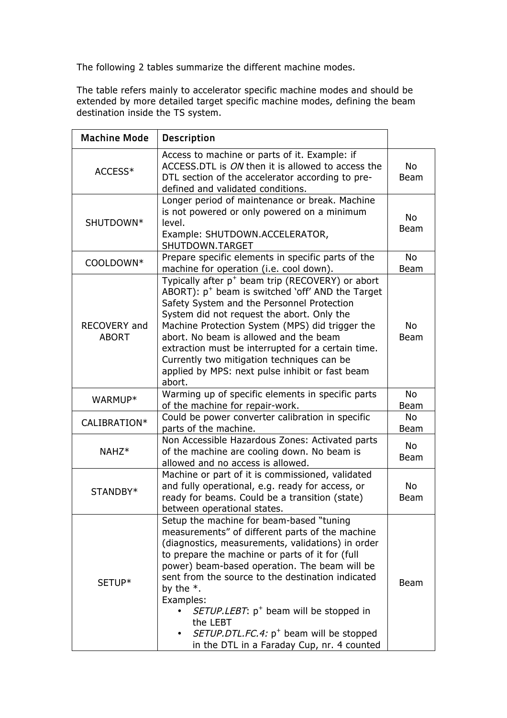The following 2 tables summarize the different machine modes.

The table refers mainly to accelerator specific machine modes and should be extended by more detailed target specific machine modes, defining the beam destination inside the TS system.

| <b>Machine Mode</b>          | <b>Description</b>                                                                                                                                                                                                                                                                                                                                                                                                                                                                                             |                          |
|------------------------------|----------------------------------------------------------------------------------------------------------------------------------------------------------------------------------------------------------------------------------------------------------------------------------------------------------------------------------------------------------------------------------------------------------------------------------------------------------------------------------------------------------------|--------------------------|
| ACCESS*                      | Access to machine or parts of it. Example: if<br>ACCESS.DTL is <i>ON</i> then it is allowed to access the<br>DTL section of the accelerator according to pre-<br>defined and validated conditions.                                                                                                                                                                                                                                                                                                             | <b>No</b><br><b>Beam</b> |
| SHUTDOWN*                    | Longer period of maintenance or break. Machine<br>is not powered or only powered on a minimum<br>level.<br>Example: SHUTDOWN.ACCELERATOR,<br>SHUTDOWN.TARGET                                                                                                                                                                                                                                                                                                                                                   | No<br><b>Beam</b>        |
| COOLDOWN*                    | Prepare specific elements in specific parts of the<br>machine for operation (i.e. cool down).                                                                                                                                                                                                                                                                                                                                                                                                                  | <b>No</b><br><b>Beam</b> |
| RECOVERY and<br><b>ABORT</b> | Typically after p <sup>+</sup> beam trip (RECOVERY) or abort<br>ABORT): $p^+$ beam is switched 'off' AND the Target<br>Safety System and the Personnel Protection<br>System did not request the abort. Only the<br>Machine Protection System (MPS) did trigger the<br>abort. No beam is allowed and the beam<br>extraction must be interrupted for a certain time.<br>Currently two mitigation techniques can be<br>applied by MPS: next pulse inhibit or fast beam<br>abort.                                  | No<br><b>Beam</b>        |
| WARMUP*                      | Warming up of specific elements in specific parts<br>of the machine for repair-work.                                                                                                                                                                                                                                                                                                                                                                                                                           | <b>No</b><br><b>Beam</b> |
| CALIBRATION*                 | Could be power converter calibration in specific<br>parts of the machine.                                                                                                                                                                                                                                                                                                                                                                                                                                      | No<br><b>Beam</b>        |
| NAHZ <sup>*</sup>            | Non Accessible Hazardous Zones: Activated parts<br>of the machine are cooling down. No beam is<br>allowed and no access is allowed.                                                                                                                                                                                                                                                                                                                                                                            | <b>No</b><br><b>Beam</b> |
| STANDBY*                     | Machine or part of it is commissioned, validated<br>and fully operational, e.g. ready for access, or<br>ready for beams. Could be a transition (state)<br>between operational states.                                                                                                                                                                                                                                                                                                                          | No<br><b>Beam</b>        |
| SETUP*                       | Setup the machine for beam-based "tuning"<br>measurements" of different parts of the machine<br>(diagnostics, measurements, validations) in order<br>to prepare the machine or parts of it for (full<br>power) beam-based operation. The beam will be<br>sent from the source to the destination indicated<br>by the $*$ .<br>Examples:<br>SETUP.LEBT: p <sup>+</sup> beam will be stopped in<br>the LEBT<br>SETUP.DTL.FC.4: p <sup>+</sup> beam will be stopped<br>in the DTL in a Faraday Cup, nr. 4 counted | Beam                     |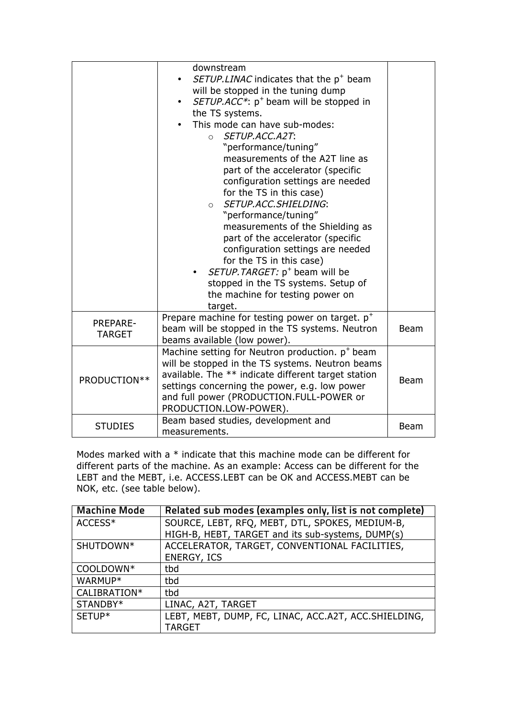|                    | downstream<br>SETUP.LINAC indicates that the p <sup>+</sup> beam<br>will be stopped in the tuning dump<br>SETUP.ACC*: $p^+$ beam will be stopped in<br>the TS systems.<br>This mode can have sub-modes:<br>SETUP.ACC.A2T:<br>$\Omega$<br>"performance/tuning"<br>measurements of the A2T line as<br>part of the accelerator (specific<br>configuration settings are needed<br>for the TS in this case)<br>SETUP.ACC.SHIELDING:<br>$\Omega$<br>"performance/tuning"<br>measurements of the Shielding as<br>part of the accelerator (specific<br>configuration settings are needed<br>for the TS in this case)<br>SETUP. TARGET: p <sup>+</sup> beam will be<br>stopped in the TS systems. Setup of |             |
|--------------------|---------------------------------------------------------------------------------------------------------------------------------------------------------------------------------------------------------------------------------------------------------------------------------------------------------------------------------------------------------------------------------------------------------------------------------------------------------------------------------------------------------------------------------------------------------------------------------------------------------------------------------------------------------------------------------------------------|-------------|
|                    | the machine for testing power on<br>target.                                                                                                                                                                                                                                                                                                                                                                                                                                                                                                                                                                                                                                                       |             |
| PREPARE-<br>TARGET | Prepare machine for testing power on target. $p^+$<br>beam will be stopped in the TS systems. Neutron<br>beams available (low power).                                                                                                                                                                                                                                                                                                                                                                                                                                                                                                                                                             | <b>Beam</b> |
| PRODUCTION**       | Machine setting for Neutron production. p <sup>+</sup> beam<br>will be stopped in the TS systems. Neutron beams<br>available. The ** indicate different target station<br>settings concerning the power, e.g. low power<br>and full power (PRODUCTION.FULL-POWER or<br>PRODUCTION.LOW-POWER).                                                                                                                                                                                                                                                                                                                                                                                                     | <b>Beam</b> |
| <b>STUDIES</b>     | Beam based studies, development and<br>measurements.                                                                                                                                                                                                                                                                                                                                                                                                                                                                                                                                                                                                                                              | <b>Beam</b> |

Modes marked with a \* indicate that this machine mode can be different for different parts of the machine. As an example: Access can be different for the LEBT and the MEBT, i.e. ACCESS.LEBT can be OK and ACCESS.MEBT can be NOK, etc. (see table below).

| <b>Machine Mode</b> | Related sub modes (examples only, list is not complete) |
|---------------------|---------------------------------------------------------|
| ACCESS*             | SOURCE, LEBT, RFQ, MEBT, DTL, SPOKES, MEDIUM-B,         |
|                     | HIGH-B, HEBT, TARGET and its sub-systems, DUMP(s)       |
| SHUTDOWN*           | ACCELERATOR, TARGET, CONVENTIONAL FACILITIES,           |
|                     | <b>ENERGY, ICS</b>                                      |
| COOLDOWN*           | tbd                                                     |
| WARMUP*             | tbd                                                     |
| CALIBRATION*        | tbd                                                     |
| STANDBY*            | LINAC, A2T, TARGET                                      |
| SETUP*              | LEBT, MEBT, DUMP, FC, LINAC, ACC.A2T, ACC.SHIELDING,    |
|                     | <b>TARGET</b>                                           |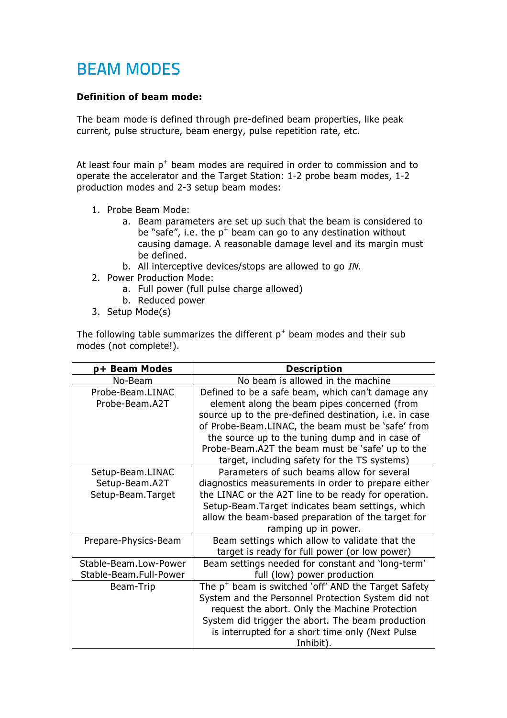### BEAM MODES

#### **Definition of beam mode:**

The beam mode is defined through pre-defined beam properties, like peak current, pulse structure, beam energy, pulse repetition rate, etc.

At least four main  $p^+$  beam modes are required in order to commission and to operate the accelerator and the Target Station: 1-2 probe beam modes, 1-2 production modes and 2-3 setup beam modes:

- 1. Probe Beam Mode:
	- a. Beam parameters are set up such that the beam is considered to be "safe", i.e. the  $p^+$  beam can go to any destination without causing damage. A reasonable damage level and its margin must be defined.
	- b. All interceptive devices/stops are allowed to go IN.
- 2. Power Production Mode:
	- a. Full power (full pulse charge allowed)
	- b. Reduced power
- 3. Setup Mode(s)

The following table summarizes the different  $p^+$  beam modes and their sub modes (not complete!).

| p+ Beam Modes          | <b>Description</b>                                            |  |  |  |  |  |  |
|------------------------|---------------------------------------------------------------|--|--|--|--|--|--|
| No-Beam                | No beam is allowed in the machine                             |  |  |  |  |  |  |
| Probe-Beam.LINAC       | Defined to be a safe beam, which can't damage any             |  |  |  |  |  |  |
| Probe-Beam.A2T         | element along the beam pipes concerned (from                  |  |  |  |  |  |  |
|                        | source up to the pre-defined destination, <i>i.e.</i> in case |  |  |  |  |  |  |
|                        | of Probe-Beam.LINAC, the beam must be 'safe' from             |  |  |  |  |  |  |
|                        | the source up to the tuning dump and in case of               |  |  |  |  |  |  |
|                        | Probe-Beam.A2T the beam must be 'safe' up to the              |  |  |  |  |  |  |
|                        | target, including safety for the TS systems)                  |  |  |  |  |  |  |
| Setup-Beam.LINAC       | Parameters of such beams allow for several                    |  |  |  |  |  |  |
| Setup-Beam.A2T         | diagnostics measurements in order to prepare either           |  |  |  |  |  |  |
| Setup-Beam.Target      | the LINAC or the A2T line to be ready for operation.          |  |  |  |  |  |  |
|                        | Setup-Beam. Target indicates beam settings, which             |  |  |  |  |  |  |
|                        | allow the beam-based preparation of the target for            |  |  |  |  |  |  |
|                        | ramping up in power.                                          |  |  |  |  |  |  |
| Prepare-Physics-Beam   | Beam settings which allow to validate that the                |  |  |  |  |  |  |
|                        | target is ready for full power (or low power)                 |  |  |  |  |  |  |
| Stable-Beam.Low-Power  | Beam settings needed for constant and 'long-term'             |  |  |  |  |  |  |
| Stable-Beam.Full-Power | full (low) power production                                   |  |  |  |  |  |  |
| Beam-Trip              | The $p^+$ beam is switched 'off' AND the Target Safety        |  |  |  |  |  |  |
|                        | System and the Personnel Protection System did not            |  |  |  |  |  |  |
|                        | request the abort. Only the Machine Protection                |  |  |  |  |  |  |
|                        | System did trigger the abort. The beam production             |  |  |  |  |  |  |
|                        | is interrupted for a short time only (Next Pulse              |  |  |  |  |  |  |
|                        | Inhibit).                                                     |  |  |  |  |  |  |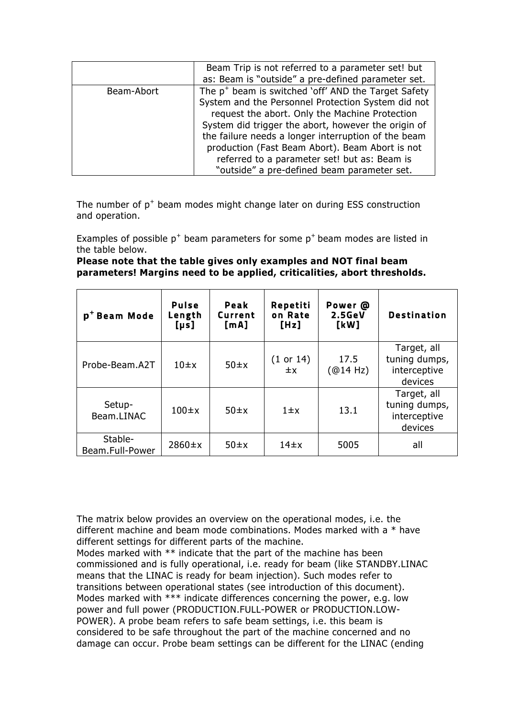|            | Beam Trip is not referred to a parameter set! but<br>as: Beam is "outside" a pre-defined parameter set. |  |  |  |  |  |  |  |
|------------|---------------------------------------------------------------------------------------------------------|--|--|--|--|--|--|--|
| Beam-Abort | The $p^+$ beam is switched 'off' AND the Target Safety                                                  |  |  |  |  |  |  |  |
|            | System and the Personnel Protection System did not                                                      |  |  |  |  |  |  |  |
|            | request the abort. Only the Machine Protection                                                          |  |  |  |  |  |  |  |
|            | System did trigger the abort, however the origin of                                                     |  |  |  |  |  |  |  |
|            | the failure needs a longer interruption of the beam                                                     |  |  |  |  |  |  |  |
|            | production (Fast Beam Abort). Beam Abort is not                                                         |  |  |  |  |  |  |  |
|            | referred to a parameter set! but as: Beam is                                                            |  |  |  |  |  |  |  |
|            | "outside" a pre-defined beam parameter set.                                                             |  |  |  |  |  |  |  |

The number of  $p^+$  beam modes might change later on during ESS construction and operation.

Examples of possible  $p^+$  beam parameters for some  $p^+$  beam modes are listed in the table below.

**Please note that the table gives only examples and NOT final beam parameters! Margins need to be applied, criticalities, abort thresholds.**

| p <sup>+</sup> Beam Mode   | <b>Pulse</b><br>Length<br>[µs] | Peak<br>Current<br>[mA] | Repetiti<br>on Rate<br>[Hz] | Power @<br>2.5GeV<br>[kW] | <b>Destination</b>                                      |
|----------------------------|--------------------------------|-------------------------|-----------------------------|---------------------------|---------------------------------------------------------|
| Probe-Beam.A2T             | $10 \pm x$                     | $50 \pm x$              | (1 or 14)<br>$\pm x$        | 17.5<br>(@14 Hz)          | Target, all<br>tuning dumps,<br>interceptive<br>devices |
| Setup-<br>Beam.LINAC       | $100 \pm x$                    | $50 \pm x$              | $1 \pm x$                   | 13.1                      | Target, all<br>tuning dumps,<br>interceptive<br>devices |
| Stable-<br>Beam.Full-Power | $2860 \pm x$                   | $50 \pm x$              | $14\pm x$                   | 5005                      | all                                                     |

The matrix below provides an overview on the operational modes, i.e. the different machine and beam mode combinations. Modes marked with a \* have different settings for different parts of the machine.

Modes marked with \*\* indicate that the part of the machine has been commissioned and is fully operational, i.e. ready for beam (like STANDBY.LINAC means that the LINAC is ready for beam injection). Such modes refer to transitions between operational states (see introduction of this document). Modes marked with \*\*\* indicate differences concerning the power, e.g. low power and full power (PRODUCTION.FULL-POWER or PRODUCTION.LOW-POWER). A probe beam refers to safe beam settings, i.e. this beam is considered to be safe throughout the part of the machine concerned and no damage can occur. Probe beam settings can be different for the LINAC (ending